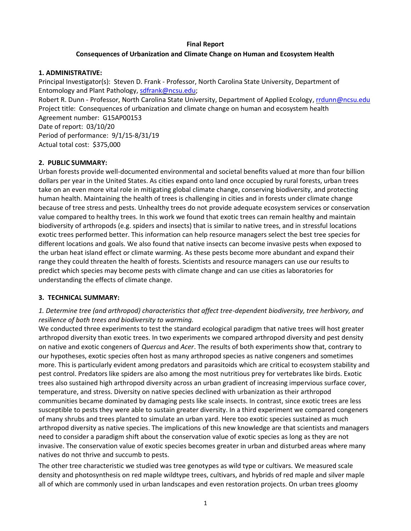### **Final Report**

### **Consequences of Urbanization and Climate Change on Human and Ecosystem Health**

### **1. ADMINISTRATIVE:**

Principal Investigator(s): Steven D. Frank - Professor, North Carolina State University, Department of Entomology and Plant Pathology[, sdfrank@ncsu.edu;](mailto:sdfrank@ncsu.edu)

Robert R. Dunn - Professor, North Carolina State University, Department of Applied Ecology, [rrdunn@ncsu.edu](mailto:rrdunn@ncsu.edu) Project title: Consequences of urbanization and climate change on human and ecosystem health Agreement number: G15AP00153 Date of report: 03/10/20 Period of performance: 9/1/15-8/31/19 Actual total cost: \$375,000

# **2. PUBLIC SUMMARY:**

Urban forests provide well-documented environmental and societal benefits valued at more than four billion dollars per year in the United States. As cities expand onto land once occupied by rural forests, urban trees take on an even more vital role in mitigating global climate change, conserving biodiversity, and protecting human health. Maintaining the health of trees is challenging in cities and in forests under climate change because of tree stress and pests. Unhealthy trees do not provide adequate ecosystem services or conservation value compared to healthy trees. In this work we found that exotic trees can remain healthy and maintain biodiversity of arthropods (e.g. spiders and insects) that is similar to native trees, and in stressful locations exotic trees performed better. This information can help resource managers select the best tree species for different locations and goals. We also found that native insects can become invasive pests when exposed to the urban heat island effect or climate warming. As these pests become more abundant and expand their range they could threaten the health of forests. Scientists and resource managers can use our results to predict which species may become pests with climate change and can use cities as laboratories for understanding the effects of climate change.

# **3. TECHNICAL SUMMARY:**

# *1. Determine tree (and arthropod) characteristics that affect tree-dependent biodiversity, tree herbivory, and resilience of both trees and biodiversity to warming.*

We conducted three experiments to test the standard ecological paradigm that native trees will host greater arthropod diversity than exotic trees. In two experiments we compared arthropod diversity and pest density on native and exotic congeners of *Quercus* and *Acer*. The results of both experiments show that, contrary to our hypotheses, exotic species often host as many arthropod species as native congeners and sometimes more. This is particularly evident among predators and parasitoids which are critical to ecosystem stability and pest control. Predators like spiders are also among the most nutritious prey for vertebrates like birds. Exotic trees also sustained high arthropod diversity across an urban gradient of increasing impervious surface cover, temperature, and stress. Diversity on native species declined with urbanization as their arthropod communities became dominated by damaging pests like scale insects. In contrast, since exotic trees are less susceptible to pests they were able to sustain greater diversity. In a third experiment we compared congeners of many shrubs and trees planted to simulate an urban yard. Here too exotic species sustained as much arthropod diversity as native species. The implications of this new knowledge are that scientists and managers need to consider a paradigm shift about the conservation value of exotic species as long as they are not invasive. The conservation value of exotic species becomes greater in urban and disturbed areas where many natives do not thrive and succumb to pests.

The other tree characteristic we studied was tree genotypes as wild type or cultivars. We measured scale density and photosynthesis on red maple wildtype trees, cultivars, and hybrids of red maple and silver maple all of which are commonly used in urban landscapes and even restoration projects. On urban trees gloomy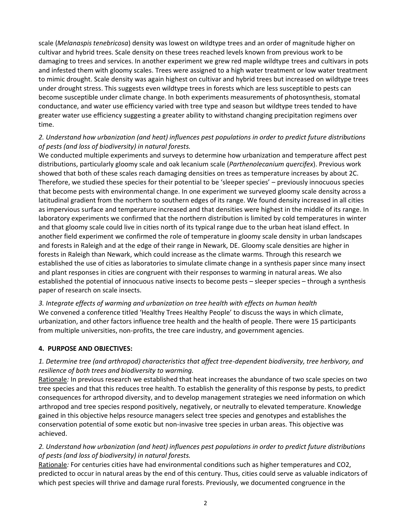scale (*Melanaspis tenebricosa*) density was lowest on wildtype trees and an order of magnitude higher on cultivar and hybrid trees. Scale density on these trees reached levels known from previous work to be damaging to trees and services. In another experiment we grew red maple wildtype trees and cultivars in pots and infested them with gloomy scales. Trees were assigned to a high water treatment or low water treatment to mimic drought. Scale density was again highest on cultivar and hybrid trees but increased on wildtype trees under drought stress. This suggests even wildtype trees in forests which are less susceptible to pests can become susceptible under climate change. In both experiments measurements of photosynthesis, stomatal conductance, and water use efficiency varied with tree type and season but wildtype trees tended to have greater water use efficiency suggesting a greater ability to withstand changing precipitation regimens over time.

# *2. Understand how urbanization (and heat) influences pest populations in order to predict future distributions of pests (and loss of biodiversity) in natural forests.*

We conducted multiple experiments and surveys to determine how urbanization and temperature affect pest distributions, particularly gloomy scale and oak lecanium scale (*Parthenolecanium quercifex*). Previous work showed that both of these scales reach damaging densities on trees as temperature increases by about 2C. Therefore, we studied these species for their potential to be 'sleeper species' – previously innocuous species that become pests with environmental change. In one experiment we surveyed gloomy scale density across a latitudinal gradient from the northern to southern edges of its range. We found density increased in all cities as impervious surface and temperature increased and that densities were highest in the middle of its range. In laboratory experiments we confirmed that the northern distribution is limited by cold temperatures in winter and that gloomy scale could live in cities north of its typical range due to the urban heat island effect. In another field experiment we confirmed the role of temperature in gloomy scale density in urban landscapes and forests in Raleigh and at the edge of their range in Newark, DE. Gloomy scale densities are higher in forests in Raleigh than Newark, which could increase as the climate warms. Through this research we established the use of cities as laboratories to simulate climate change in a synthesis paper since many insect and plant responses in cities are congruent with their responses to warming in natural areas. We also established the potential of innocuous native insects to become pests – sleeper species – through a synthesis paper of research on scale insects.

*3. Integrate effects of warming and urbanization on tree health with effects on human health* We convened a conference titled 'Healthy Trees Healthy People' to discuss the ways in which climate, urbanization, and other factors influence tree health and the health of people. There were 15 participants from multiple universities, non-profits, the tree care industry, and government agencies.

# **4. PURPOSE AND OBJECTIVES:**

# *1. Determine tree (and arthropod) characteristics that affect tree-dependent biodiversity, tree herbivory, and resilience of both trees and biodiversity to warming.*

Rationale*:* In previous research we established that heat increases the abundance of two scale species on two tree species and that this reduces tree health. To establish the generality of this response by pests, to predict consequences for arthropod diversity, and to develop management strategies we need information on which arthropod and tree species respond positively, negatively, or neutrally to elevated temperature. Knowledge gained in this objective helps resource managers select tree species and genotypes and establishes the conservation potential of some exotic but non-invasive tree species in urban areas. This objective was achieved.

# *2. Understand how urbanization (and heat) influences pest populations in order to predict future distributions of pests (and loss of biodiversity) in natural forests.*

Rationale*:* For centuries cities have had environmental conditions such as higher temperatures and CO2, predicted to occur in natural areas by the end of this century. Thus, cities could serve as valuable indicators of which pest species will thrive and damage rural forests. Previously, we documented congruence in the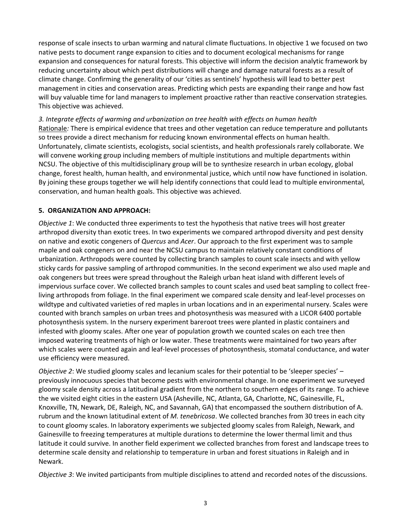response of scale insects to urban warming and natural climate fluctuations. In objective 1 we focused on two native pests to document range expansion to cities and to document ecological mechanisms for range expansion and consequences for natural forests. This objective will inform the decision analytic framework by reducing uncertainty about which pest distributions will change and damage natural forests as a result of climate change. Confirming the generality of our 'cities as sentinels' hypothesis will lead to better pest management in cities and conservation areas. Predicting which pests are expanding their range and how fast will buy valuable time for land managers to implement proactive rather than reactive conservation strategies*.* This objective was achieved.

*3. Integrate effects of warming and urbanization on tree health with effects on human health* Rationale*:* There is empirical evidence that trees and other vegetation can reduce temperature and pollutants so trees provide a direct mechanism for reducing known environmental effects on human health. Unfortunately, climate scientists, ecologists, social scientists, and health professionals rarely collaborate. We will convene working group including members of multiple institutions and multiple departments within NCSU. The objective of this multidisciplinary group will be to synthesize research in urban ecology, global change, forest health, human health, and environmental justice, which until now have functioned in isolation. By joining these groups together we will help identify connections that could lead to multiple environmental, conservation, and human health goals. This objective was achieved.

## **5. ORGANIZATION AND APPROACH:**

*Objective 1*: We conducted three experiments to test the hypothesis that native trees will host greater arthropod diversity than exotic trees. In two experiments we compared arthropod diversity and pest density on native and exotic congeners of *Quercus* and *Acer*. Our approach to the first experiment was to sample maple and oak congeners on and near the NCSU campus to maintain relatively constant conditions of urbanization. Arthropods were counted by collecting branch samples to count scale insects and with yellow sticky cards for passive sampling of arthropod communities. In the second experiment we also used maple and oak congeners but trees were spread throughout the Raleigh urban heat island with different levels of impervious surface cover. We collected branch samples to count scales and used beat sampling to collect freeliving arthropods from foliage. In the final experiment we compared scale density and leaf-level processes on wildtype and cultivated varieties of red maples in urban locations and in an experimental nursery. Scales were counted with branch samples on urban trees and photosynthesis was measured with a LICOR 6400 portable photosynthesis system. In the nursery experiment bareroot trees were planted in plastic containers and infested with gloomy scales. After one year of population growth we counted scales on each tree then imposed watering treatments of high or low water. These treatments were maintained for two years after which scales were counted again and leaf-level processes of photosynthesis, stomatal conductance, and water use efficiency were measured.

*Objective 2*: We studied gloomy scales and lecanium scales for their potential to be 'sleeper species' – previously innocuous species that become pests with environmental change. In one experiment we surveyed gloomy scale density across a latitudinal gradient from the northern to southern edges of its range. To achieve the we visited eight cities in the eastern USA (Asheville, NC, Atlanta, GA, Charlotte, NC, Gainesville, FL, Knoxville, TN, Newark, DE, Raleigh, NC, and Savannah, GA) that encompassed the southern distribution of A. rubrum and the known latitudinal extent of *M. tenebricosa*. We collected branches from 30 trees in each city to count gloomy scales. In laboratory experiments we subjected gloomy scales from Raleigh, Newark, and Gainesville to freezing temperatures at multiple durations to determine the lower thermal limit and thus latitude it could survive. In another field experiment we collected branches from forest and landscape trees to determine scale density and relationship to temperature in urban and forest situations in Raleigh and in Newark.

*Objective 3*: We invited participants from multiple disciplines to attend and recorded notes of the discussions.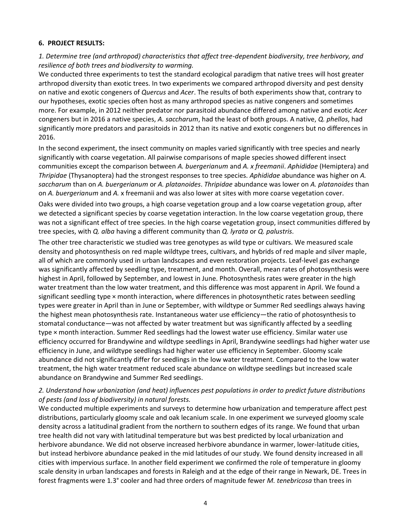#### **6. PROJECT RESULTS:**

*1. Determine tree (and arthropod) characteristics that affect tree-dependent biodiversity, tree herbivory, and resilience of both trees and biodiversity to warming.* 

We conducted three experiments to test the standard ecological paradigm that native trees will host greater arthropod diversity than exotic trees. In two experiments we compared arthropod diversity and pest density on native and exotic congeners of *Quercus* and *Acer*. The results of both experiments show that, contrary to our hypotheses, exotic species often host as many arthropod species as native congeners and sometimes more. For example, in 2012 neither predator nor parasitoid abundance differed among native and exotic *Acer* congeners but in 2016 a native species, *A. saccharum*, had the least of both groups. A native, *Q. phellos*, had significantly more predators and parasitoids in 2012 than its native and exotic congeners but no differences in 2016.

In the second experiment, the insect community on maples varied significantly with tree species and nearly significantly with coarse vegetation. All pairwise comparisons of maple species showed different insect communities except the comparison between *A. buergerianum* and *A. x freemanii*. *Aphididae* (Hemiptera) and *Thripidae* (Thysanoptera) had the strongest responses to tree species. *Aphididae* abundance was higher on *A. saccharum* than on *A. buergerianum* or *A. platanoides*. *Thripidae* abundance was lower on *A. platanoides* than on *A. buergerianum* and *A.* x freemanii and was also lower at sites with more coarse vegetation cover.

Oaks were divided into two groups, a high coarse vegetation group and a low coarse vegetation group, after we detected a significant species by coarse vegetation interaction. In the low coarse vegetation group, there was not a significant effect of tree species. In the high coarse vegetation group, insect communities differed by tree species, with *Q. alba* having a different community than *Q. lyrata* or *Q. palustris*.

The other tree characteristic we studied was tree genotypes as wild type or cultivars. We measured scale density and photosynthesis on red maple wildtype trees, cultivars, and hybrids of red maple and silver maple, all of which are commonly used in urban landscapes and even restoration projects. Leaf-level gas exchange was significantly affected by seedling type, treatment, and month. Overall, mean rates of photosynthesis were highest in April, followed by September, and lowest in June. Photosynthesis rates were greater in the high water treatment than the low water treatment, and this difference was most apparent in April. We found a significant seedling type × month interaction, where differences in photosynthetic rates between seedling types were greater in April than in June or September, with wildtype or Summer Red seedlings always having the highest mean photosynthesis rate. Instantaneous water use efficiency—the ratio of photosynthesis to stomatal conductance—was not affected by water treatment but was significantly affected by a seedling type × month interaction. Summer Red seedlings had the lowest water use efficiency. Similar water use efficiency occurred for Brandywine and wildtype seedlings in April, Brandywine seedlings had higher water use efficiency in June, and wildtype seedlings had higher water use efficiency in September. Gloomy scale abundance did not significantly differ for seedlings in the low water treatment. Compared to the low water treatment, the high water treatment reduced scale abundance on wildtype seedlings but increased scale abundance on Brandywine and Summer Red seedlings.

## *2. Understand how urbanization (and heat) influences pest populations in order to predict future distributions of pests (and loss of biodiversity) in natural forests.*

We conducted multiple experiments and surveys to determine how urbanization and temperature affect pest distributions, particularly gloomy scale and oak lecanium scale. In one experiment we surveyed gloomy scale density across a latitudinal gradient from the northern to southern edges of its range. We found that urban tree health did not vary with latitudinal temperature but was best predicted by local urbanization and herbivore abundance. We did not observe increased herbivore abundance in warmer, lower-latitude cities, but instead herbivore abundance peaked in the mid latitudes of our study. We found density increased in all cities with impervious surface. In another field experiment we confirmed the role of temperature in gloomy scale density in urban landscapes and forests in Raleigh and at the edge of their range in Newark, DE. Trees in forest fragments were 1.3° cooler and had three orders of magnitude fewer *M. tenebricosa* than trees in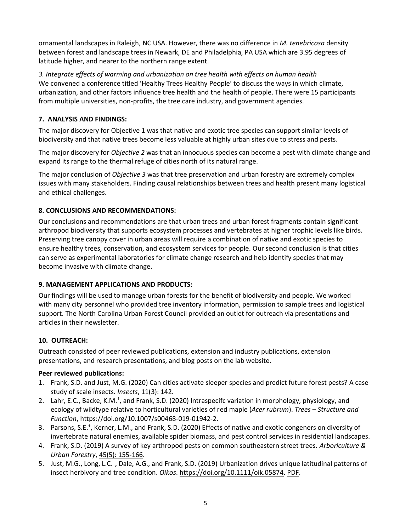ornamental landscapes in Raleigh, NC USA. However, there was no difference in *M. tenebricosa* density between forest and landscape trees in Newark, DE and Philadelphia, PA USA which are 3.95 degrees of latitude higher, and nearer to the northern range extent.

*3. Integrate effects of warming and urbanization on tree health with effects on human health* We convened a conference titled 'Healthy Trees Healthy People' to discuss the ways in which climate, urbanization, and other factors influence tree health and the health of people. There were 15 participants from multiple universities, non-profits, the tree care industry, and government agencies.

# **7. ANALYSIS AND FINDINGS:**

The major discovery for Objective 1 was that native and exotic tree species can support similar levels of biodiversity and that native trees become less valuable at highly urban sites due to stress and pests.

The major discovery for *Objective 2* was that an innocuous species can become a pest with climate change and expand its range to the thermal refuge of cities north of its natural range.

The major conclusion of *Objective 3* was that tree preservation and urban forestry are extremely complex issues with many stakeholders. Finding causal relationships between trees and health present many logistical and ethical challenges.

# **8. CONCLUSIONS AND RECOMMENDATIONS:**

Our conclusions and recommendations are that urban trees and urban forest fragments contain significant arthropod biodiversity that supports ecosystem processes and vertebrates at higher trophic levels like birds. Preserving tree canopy cover in urban areas will require a combination of native and exotic species to ensure healthy trees, conservation, and ecosystem services for people. Our second conclusion is that cities can serve as experimental laboratories for climate change research and help identify species that may become invasive with climate change.

# **9. MANAGEMENT APPLICATIONS AND PRODUCTS:**

Our findings will be used to manage urban forests for the benefit of biodiversity and people. We worked with many city personnel who provided tree inventory information, permission to sample trees and logistical support. The North Carolina Urban Forest Council provided an outlet for outreach via presentations and articles in their newsletter.

# **10. OUTREACH:**

Outreach consisted of peer reviewed publications, extension and industry publications, extension presentations, and research presentations, and blog posts on the lab website.

# **Peer reviewed publications:**

- 1. Frank, S.D. and Just, M.G. (2020) Can cities activate sleeper species and predict future forest pests? A case study of scale insects. *Insects*, 11(3): 142.
- 2. Lahr, E.C., Backe, K.M.<sup>†</sup>, and Frank, S.D. (2020) Intraspecifc variation in morphology, physiology, and ecology of wildtype relative to horticultural varieties of red maple (*Acer rubrum*). *Trees – Structure and Function*, [https://doi.org/10.1007/s00468-019-01942-2.](https://doi.org/10.1007/s00468-019-01942-2)
- 3. Parsons, S.E.† , Kerner, L.M., and Frank, S.D. (2020) Effects of native and exotic congeners on diversity of invertebrate natural enemies, available spider biomass, and pest control services in residential landscapes.
- 4. Frank, S.D. (2019) A survey of key arthropod pests on common southeastern street trees. *Arboriculture & Urban Forestry*, [45\(5\): 155-166.](http://ecoipm.org/wp-content/uploads/Frank_092019.pdf)
- 5. Just, M.G., Long, L.C.<sup>+</sup>, Dale, A.G., and Frank, S.D. (2019) Urbanization drives unique latitudinal patterns of insect herbivory and tree condition. *Oikos*. [https://doi.org/10.1111/oik.05874.](https://doi.org/10.1111/oik.05874) [PDF.](http://ecoipm.org/wp-content/uploads/Just_et_al-2019-Oikos-compressed.pdf)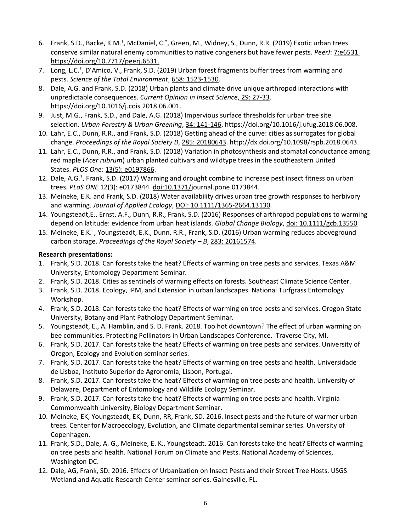- 6. Frank, S.D., Backe, K.M.<sup>+</sup>, McDaniel, C.<sup>\*</sup>, Green, M., Widney, S., Dunn, R.R. (2019) Exotic urban trees conserve similar natural enemy communities to native congeners but have fewer pests. *PeerJ*: [7:e6531](https://doi.org/10.7717/peerj.6531)  [https://doi.org/10.7717/peerj.6531.](https://doi.org/10.7717/peerj.6531)
- 7. Long, L.C.† , D'Amico, V., Frank, S.D. (2019) Urban forest fragments buffer trees from warming and pests. *Science of the Total Environment*, [658: 1523-1530.](http://ecoipm.org/wp-content/uploads/Long_2019.pdf)
- 8. Dale, A.G. and Frank, S.D. (2018) Urban plants and climate drive unique arthropod interactions with unpredictable consequences. *Current Opinion in Insect Science*, [29: 27-33.](http://ecoipm.org/wp-content/uploads/Dale_2018.pdf) https://doi.org/10.1016/j.cois.2018.06.001.
- 9. Just, M.G., Frank, S.D., and Dale, A.G. (2018) Impervious surface thresholds for urban tree site selection. *Urban Forestry & Urban Greening*, [34: 141-146.](http://ecoipm.org/wp-content/uploads/Just_2018.pdf) https://doi.org/10.1016/j.ufug.2018.06.008.
- 10. Lahr, E.C., Dunn, R.R., and Frank, S.D. (2018) Getting ahead of the curve: cities as surrogates for global change. *Proceedings of the Royal Society B*, [285: 20180643.](http://ecoipm.org/wp-content/uploads/LahrEtal_ProcB_2018.pdf) http://dx.doi.org/10.1098/rspb.2018.0643.
- 11. Lahr, E.C., Dunn, R.R., and Frank, S.D. (2018) Variation in photosynthesis and stomatal conductance among red maple (*Acer rubrum*) urban planted cultivars and wildtype trees in the southeastern United States. *PLOS One*: [13\(5\): e0197866.](http://journals.plos.org/plosone/article?id=10.1371/journal.pone.0197866)
- 12. Dale, A.G.† , Frank, S.D. (2017) Warming and drought combine to increase pest insect fitness on urban trees. *PLoS ONE* 12(3): e0173844. [doi:10.1371/journal.pone.0173844.](http://journals.plos.org/plosone/article?id=10.1371/journal.pone.0173844)
- 13. Meineke, E.K. and Frank, S.D. (2018) Water availability drives urban tree growth responses to herbivory and warming. *Journal of Applied Ecology*, [DOI: 10.1111/1365-2664.13130.](http://ecoipm.org/wp-content/uploads/Meineke_et_al-2018-Journal_of_Applied_Ecology.pdf)
- 14. Youngsteadt,E., Ernst, A.F., Dunn, R.R., Frank, S.D. (2016) Responses of arthropod populations to warming depend on latitude: evidence from urban heat islands. *Global Change Biology*, [doi: 10.1111/gcb.13550](http://ecoipm.org/wp-content/uploads/Youngsteadt_et_al-2016.pdf)
- 15. Meineke, E.K.<sup>+</sup>, Youngsteadt, E.K., Dunn, R.R., Frank, S.D. (2016) Urban warming reduces aboveground carbon storage. *Proceedings of the Royal Society - B*, [283: 20161574.](http://ecoipm.org/wp-content/uploads/20161574.full_.pdf)

# **Research presentations:**

- 1. Frank, S.D. 2018. Can forests take the heat? Effects of warming on tree pests and services. Texas A&M University, Entomology Department Seminar.
- 2. Frank, S.D. 2018. Cities as sentinels of warming effects on forests. Southeast Climate Science Center.
- 3. Frank, S.D. 2018. Ecology, IPM, and Extension in urban landscapes. National Turfgrass Entomology Workshop.
- 4. Frank, S.D. 2018. Can forests take the heat? Effects of warming on tree pests and services. Oregon State University, Botany and Plant Pathology Department Seminar.
- 5. Youngsteadt, E., A. Hamblin, and S. D. Frank. 2018. Too hot downtown? The effect of urban warming on bee communities. Protecting Pollinators in Urban Landscapes Conference. Traverse City, MI.
- 6. Frank, S.D. 2017. Can forests take the heat? Effects of warming on tree pests and services. University of Oregon, Ecology and Evolution seminar series.
- 7. Frank, S.D. 2017. Can forests take the heat? Effects of warming on tree pests and health. Universidade de Lisboa, Instituto Superior de Agronomia, Lisbon, Portugal.
- 8. Frank, S.D. 2017. Can forests take the heat? Effects of warming on tree pests and health. University of Delaware, Department of Entomology and Wildlife Ecology Seminar.
- 9. Frank, S.D. 2017. Can forests take the heat? Effects of warming on tree pests and health. Virginia Commonwealth University, Biology Department Seminar.
- 10. Meineke, EK, Youngsteadt, EK, Dunn, RR, Frank, SD. 2016. Insect pests and the future of warmer urban trees. Center for Macroecology, Evolution, and Climate departmental seminar series. University of Copenhagen.
- 11. Frank, S.D., Dale, A. G., Meineke, E. K., Youngsteadt. 2016. Can forests take the heat? Effects of warming on tree pests and health. National Forum on Climate and Pests. National Academy of Sciences, Washington DC.
- 12. Dale, AG, Frank, SD. 2016. Effects of Urbanization on Insect Pests and their Street Tree Hosts. USGS Wetland and Aquatic Research Center seminar series. Gainesville, FL.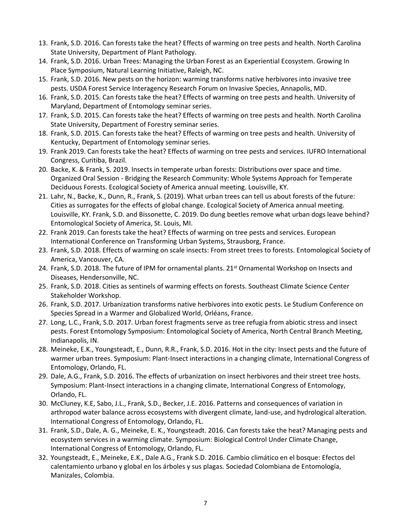- 13. Frank, S.D. 2016. Can forests take the heat? Effects of warming on tree pests and health. North Carolina State University, Department of Plant Pathology.
- 14. Frank, S.D. 2016. Urban Trees: Managing the Urban Forest as an Experiential Ecosystem. Growing In Place Symposium, Natural Learning Initiative, Raleigh, NC.
- 15. Frank, S.D. 2016. New pests on the horizon: warming transforms native herbivores into invasive tree pests. USDA Forest Service Interagency Research Forum on Invasive Species, Annapolis, MD.
- 16. Frank, S.D. 2015. Can forests take the heat? Effects of warming on tree pests and health. University of Maryland, Department of Entomology seminar series.
- 17. Frank, S.D. 2015. Can forests take the heat? Effects of warming on tree pests and health. North Carolina State University, Department of Forestry seminar series.
- 18. Frank, S.D. 2015. Can forests take the heat? Effects of warming on tree pests and health. University of Kentucky, Department of Entomology seminar series.
- 19. Frank 2019. Can forests take the heat? Effects of warming on tree pests and services. IUFRO International Congress, Curitiba, Brazil.
- 20. Backe, K. & Frank, S. 2019. Insects in temperate urban forests: Distributions over space and time. Organized Oral Session - Bridging the Research Community: Whole Systems Approach for Temperate Deciduous Forests. Ecological Society of America annual meeting. Louisville, KY.
- 21. Lahr, N., Backe, K., Dunn, R., Frank, S. (2019). What urban trees can tell us about forests of the future: Cities as surrogates for the effects of global change. Ecological Society of America annual meeting. Louisville, KY. Frank, S.D. and Bissonette, C. 2019. Do dung beetles remove what urban dogs leave behind? Entomological Society of America, St. Louis, MI.
- 22. Frank 2019. Can forests take the heat? Effects of warming on tree pests and services. European International Conference on Transforming Urban Systems, Strausborg, France.
- 23. Frank, S.D. 2018. Effects of warming on scale insects: From street trees to forests. Entomological Society of America, Vancouver, CA.
- 24. Frank, S.D. 2018. The future of IPM for ornamental plants. 21<sup>st</sup> Ornamental Workshop on Insects and Diseases, Hendersonville, NC.
- 25. Frank, S.D. 2018. Cities as sentinels of warming effects on forests. Southeast Climate Science Center Stakeholder Workshop.
- 26. Frank, S.D. 2017. Urbanization transforms native herbivores into exotic pests. Le Studium Conference on Species Spread in a Warmer and Globalized World, Orléans, France.
- 27. Long, L.C., Frank, S.D. 2017. Urban forest fragments serve as tree refugia from abiotic stress and insect pests. Forest Entomology Symposium: Entomological Society of America, North Central Branch Meeting, Indianapolis, IN.
- 28. Meineke, E.K., Youngsteadt, E., Dunn, R.R., Frank, S.D. 2016. Hot in the city: Insect pests and the future of warmer urban trees. Symposium: Plant-Insect interactions in a changing climate, International Congress of Entomology, Orlando, FL.
- 29. Dale, A.G., Frank, S.D. 2016. The effects of urbanization on insect herbivores and their street tree hosts. Symposium: Plant-Insect interactions in a changing climate, International Congress of Entomology, Orlando, FL.
- 30. McCluney, K.E, Sabo, J.L., Frank, S.D., Becker, J.E. 2016. Patterns and consequences of variation in arthropod water balance across ecosystems with divergent climate, land-use, and hydrological alteration. International Congress of Entomology, Orlando, FL.
- 31. Frank, S.D., Dale, A. G., Meineke, E. K., Youngsteadt. 2016. Can forests take the heat? Managing pests and ecosystem services in a warming climate. Symposium: Biological Control Under Climate Change, International Congress of Entomology, Orlando, FL.
- 32. Youngsteadt, E., Meineke, E.K., Dale A.G., Frank S.D. 2016. Cambio climático en el bosque: Efectos del calentamiento urbano y global en los árboles y sus plagas. Sociedad Colombiana de Entomología, Manizales, Colombia.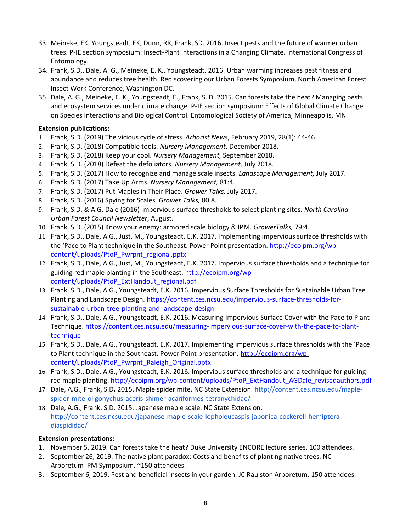- 33. Meineke, EK, Youngsteadt, EK, Dunn, RR, Frank, SD. 2016. Insect pests and the future of warmer urban trees. P-IE section symposium: Insect-Plant Interactions in a Changing Climate. International Congress of Entomology.
- 34. Frank, S.D., Dale, A. G., Meineke, E. K., Youngsteadt. 2016. Urban warming increases pest fitness and abundance and reduces tree health. Rediscovering our Urban Forests Symposium, North American Forest Insect Work Conference, Washington DC.
- 35. Dale, A. G., Meineke, E. K., Youngsteadt, E., Frank, S. D. 2015. Can forests take the heat? Managing pests and ecosystem services under climate change. P-IE section symposium: Effects of Global Climate Change on Species Interactions and Biological Control. Entomological Society of America, Minneapolis, MN.

## **Extension publications:**

- 1. Frank, S.D. (2019) The vicious cycle of stress. *Arborist News*, February 2019, 28(1): 44-46.
- 2. Frank, S.D. (2018) Compatible tools. *Nursery Management*, December 2018.
- 3. Frank, S.D. (2018) Keep your cool. *Nursery Management,* September 2018.
- 4. Frank, S.D. (2018) Defeat the defoliators. *Nursery Management,* July 2018.
- 5. Frank, S.D. (2017) How to recognize and manage scale insects. *Landscape Management,* July 2017.
- 6. Frank, S.D. (2017) Take Up Arms. *Nursery Management,* 81:4.
- 7. Frank, S.D. (2017) Put Maples in Their Place. *Grower Talks,* July 2017.
- 8. Frank, S.D. (2016) Spying for Scales. *Grower Talks,* 80:8.
- 9. Frank, S.D. & A.G. Dale (2016) Impervious surface thresholds to select planting sites. *North Carolina Urban Forest Council Newsletter*, August.
- 10. Frank, S.D. (2015) Know your enemy: armored scale biology & IPM. *GrowerTalks,* 79:4.
- 11. Frank, S.D., Dale, A.G., Just, M., Youngsteadt, E.K. 2017. Implementing impervious surface thresholds with the 'Pace to Plant technique in the Southeast. Power Point presentation. [http://ecoipm.org/wp](http://ecoipm.org/wp-content/uploads/PtoP_Pwrpnt_regional.pptx)[content/uploads/PtoP\\_Pwrpnt\\_regional.pptx](http://ecoipm.org/wp-content/uploads/PtoP_Pwrpnt_regional.pptx)
- 12. Frank, S.D., Dale, A.G., Just, M., Youngsteadt, E.K. 2017. Impervious surface thresholds and a technique for guiding red maple planting in the Southeast. [http://ecoipm.org/wp](http://ecoipm.org/wp-content/uploads/PtoP_ExtHandout_regional.pdf)[content/uploads/PtoP\\_ExtHandout\\_regional.pdf](http://ecoipm.org/wp-content/uploads/PtoP_ExtHandout_regional.pdf)
- 13. Frank, S.D., Dale, A.G., Youngsteadt, E.K. 2016. Impervious Surface Thresholds for Sustainable Urban Tree Planting and Landscape Design[. https://content.ces.ncsu.edu/impervious-surface-thresholds-for](https://content.ces.ncsu.edu/impervious-surface-thresholds-for-sustainable-urban-tree-planting-and-landscape-design)[sustainable-urban-tree-planting-and-landscape-design](https://content.ces.ncsu.edu/impervious-surface-thresholds-for-sustainable-urban-tree-planting-and-landscape-design)
- 14. Frank, S.D., Dale, A.G., Youngsteadt, E.K. 2016. Measuring Impervious Surface Cover with the Pace to Plant Technique. [https://content.ces.ncsu.edu/measuring-impervious-surface-cover-with-the-pace-to-plant](https://content.ces.ncsu.edu/measuring-impervious-surface-cover-with-the-pace-to-plant-technique)[technique](https://content.ces.ncsu.edu/measuring-impervious-surface-cover-with-the-pace-to-plant-technique)
- 15. Frank, S.D., Dale, A.G., Youngsteadt, E.K. 2017. Implementing impervious surface thresholds with the 'Pace to Plant technique in the Southeast. Power Point presentation. [http://ecoipm.org/wp](http://ecoipm.org/wp-content/uploads/PtoP_Pwrpnt_Raleigh_Original.pptx)[content/uploads/PtoP\\_Pwrpnt\\_Raleigh\\_Original.pptx](http://ecoipm.org/wp-content/uploads/PtoP_Pwrpnt_Raleigh_Original.pptx)
- 16. Frank, S.D., Dale, A.G., Youngsteadt, E.K. 2016. Impervious surface thresholds and a technique for guiding red maple planting. [http://ecoipm.org/wp-content/uploads/PtoP\\_ExtHandout\\_AGDale\\_revisedauthors.pdf](http://ecoipm.org/wp-content/uploads/PtoP_ExtHandout_AGDale_revisedauthors.pdf)
- 17. Dale, A.G., Frank, S.D**.** 2015. Maple spider mite. NC State Extension. [http://content.ces.ncsu.edu/maple](http://content.ces.ncsu.edu/maple-spider-mite-oligonychus-aceris-shimer-acariformes-tetranychidae/)[spider-mite-oligonychus-aceris-shimer-acariformes-tetranychidae/](http://content.ces.ncsu.edu/maple-spider-mite-oligonychus-aceris-shimer-acariformes-tetranychidae/)
- 18. Dale, A.G., Frank, S.D. 2015. Japanese maple scale. NC State Extension[.](http://content.ces.ncsu.edu/japanese-maple-scale-lopholeucaspis-japonica-cockerell-hemiptera-diaspididae/) [http://content.ces.ncsu.edu/japanese-maple-scale-lopholeucaspis-japonica-cockerell-hemiptera](http://content.ces.ncsu.edu/japanese-maple-scale-lopholeucaspis-japonica-cockerell-hemiptera-diaspididae/)[diaspididae/](http://content.ces.ncsu.edu/japanese-maple-scale-lopholeucaspis-japonica-cockerell-hemiptera-diaspididae/)

# **Extension presentations:**

- 1. November 5, 2019. Can forests take the heat? Duke University ENCORE lecture series. 100 attendees.
- 2. September 26, 2019. The native plant paradox: Costs and benefits of planting native trees. NC Arboretum IPM Symposium. ~150 attendees.
- 3. September 6, 2019. Pest and beneficial insects in your garden. JC Raulston Arboretum. 150 attendees.